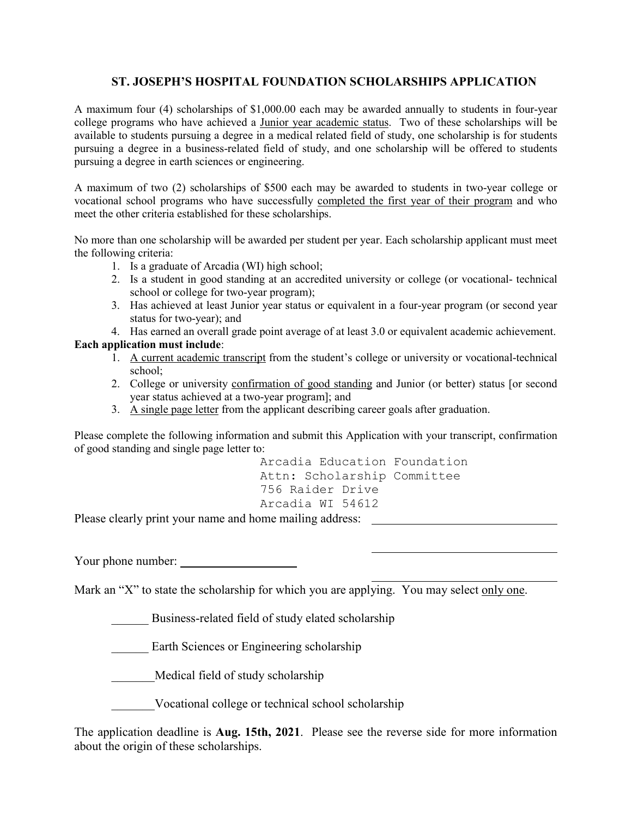## **ST. JOSEPH'S HOSPITAL FOUNDATION SCHOLARSHIPS APPLICATION**

A maximum four (4) scholarships of \$1,000.00 each may be awarded annually to students in four-year college programs who have achieved a Junior year academic status. Two of these scholarships will be available to students pursuing a degree in a medical related field of study, one scholarship is for students pursuing a degree in a business-related field of study, and one scholarship will be offered to students pursuing a degree in earth sciences or engineering.

A maximum of two (2) scholarships of \$500 each may be awarded to students in two-year college or vocational school programs who have successfully completed the first year of their program and who meet the other criteria established for these scholarships.

No more than one scholarship will be awarded per student per year. Each scholarship applicant must meet the following criteria:

- 1. Is a graduate of Arcadia (WI) high school;
	- 2. Is a student in good standing at an accredited university or college (or vocational- technical school or college for two-year program);
	- 3. Has achieved at least Junior year status or equivalent in a four-year program (or second year status for two-year); and

4. Has earned an overall grade point average of at least 3.0 or equivalent academic achievement.

## **Each application must include**:

- 1. A current academic transcript from the student's college or university or vocational-technical school;
- 2. College or university confirmation of good standing and Junior (or better) status [or second year status achieved at a two-year program]; and
- 3. A single page letter from the applicant describing career goals after graduation.

Please complete the following information and submit this Application with your transcript, confirmation of good standing and single page letter to:

> Arcadia Education Foundation Attn: Scholarship Committee 756 Raider Drive Arcadia WI 54612

Please clearly print your name and home mailing address:

Your phone number:

Mark an "X" to state the scholarship for which you are applying. You may select only one.

Business-related field of study elated scholarship

Earth Sciences or Engineering scholarship

\_\_\_\_\_\_\_Medical field of study scholarship

Vocational college or technical school scholarship

The application deadline is **Aug. 15th, 2021**. Please see the reverse side for more information about the origin of these scholarships.